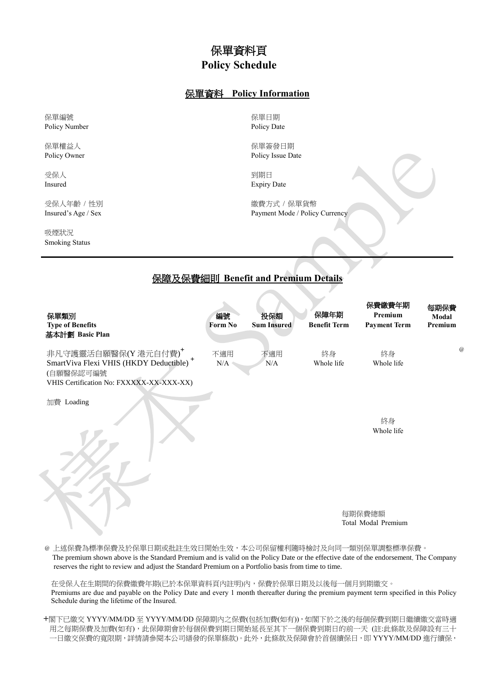## 保單資料頁 **Policy Schedule**

## 保單資料 **Policy Information**

保單編號 Policy Number

保單權益人 Policy Owner

受保人 Insured

受保人年齡 / 性別 Insured's Age / Sex

吸煙狀況 Smoking Status

保單日期 Policy Date

保單簽發日期 Policy Issue Date

到期日 Expiry Date

繳費方式 / 保單貨幣 Payment Mode / Policy Currency

## 保障及保費細則 **Benefit and Premium Details**

| 保單類別<br><b>Type of Benefits</b><br>基本計劃 Basic Plan                                                                                  | 編號<br>Form No | 投保額<br><b>Sum Insured</b> | 保障年期<br><b>Benefit Term</b>   | 保費繳費年期<br>Premium<br><b>Payment Term</b> | 每期保費<br>Modal<br>Premium |
|-------------------------------------------------------------------------------------------------------------------------------------|---------------|---------------------------|-------------------------------|------------------------------------------|--------------------------|
| 非凡守護靈活自願醫保(Y港元自付費)+<br>SmartViva Flexi VHIS (HKDY Deductible) <sup>+</sup><br>(自願醫保認可編號<br>VHIS Certification No: FXXXXX-XX-XXX-XX) | 不適用<br>N/A    | 不適用<br>N/A                | 終身<br>Whole life              | 終身<br>Whole life                         | $\overline{a}$           |
| 加費 Loading                                                                                                                          |               |                           |                               | 終身<br>Whole life                         |                          |
|                                                                                                                                     |               |                           | 每期保費總額<br>Total Modal Premium |                                          |                          |

@ 上述保費為標準保費及於保單日期或批註生效日開始生效,本公司保留權利隨時檢討及向同一類別保單調整標準保費。 The premium shown above is the Standard Premium and is valid on the Policy Date or the effective date of the endorsement. The Company reserves the right to review and adjust the Standard Premium on a Portfolio basis from time to time.

在受保人在生期間的保費繳費年期(已於本保單資料頁內註明)內,保費於保單日期及以後每一個月到期繳交。 Premiums are due and payable on the Policy Date and every 1 month thereafter during the premium payment term specified in this Policy Schedule during the lifetime of the Insured.

**+**閣下已繳交 YYYY/MM/DD 至 YYYY/MM/DD 保障期內之保費(包括加費(如有)),如閣下於之後的每個保費到期日繼續繳交當時適 用之每期保費及加費(如有),此保障期會於每個保費到期日開始延長至其下一個保費到期日的前一天 (註:此條款及保障設有三十 一日繳交保費的寬限期,詳情請參閱本公司繕發的保單條款)。此外,此條款及保障會於首個續保日,即 YYYY/MM/DD 進行續保,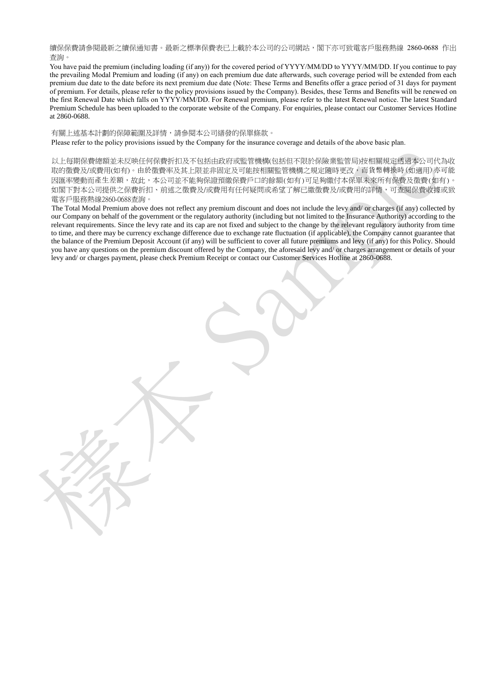續保保費請參閱最新之續保通知書。最新之標準保費表已上載於本公司的公司網站,閣下亦可致電客戶服務熱線 2860-0688 作出 查詢。

You have paid the premium (including loading (if any)) for the covered period of YYYY/MM/DD to YYYY/MM/DD. If you continue to pay the prevailing Modal Premium and loading (if any) on each premium due date afterwards, such coverage period will be extended from each premium due date to the date before its next premium due date (Note: These Terms and Benefits offer a grace period of 31 days for payment of premium. For details, please refer to the policy provisions issued by the Company). Besides, these Terms and Benefits will be renewed on the first Renewal Date which falls on YYYY/MM/DD. For Renewal premium, please refer to the latest Renewal notice. The latest Standard Premium Schedule has been uploaded to the corporate website of the Company. For enquiries, please contact our Customer Services Hotline at 2860-0688.

有關上述基本計劃的保障範圍及詳情,請參閱本公司繕發的保單條款。

Please refer to the policy provisions issued by the Company for the insurance coverage and details of the above basic plan.

以上每期保費總額並未反映任何保費折扣及不包括由政府或監管機構(包括但不限於保險業監管局)按相關規定透過本公司代為收 取的徵費及/或費用(如有)。由於徵費率及其上限並非固定及可能按相關監管機構之規定隨時更改,而貨幣轉換時(如適用)亦可能 因匯率變動而產生差額,故此,本公司並不能夠保證預繳保費戶口的餘額(如有)可足夠繳付本保單未來所有保費及徵費(如有)。 如閣下對本公司提供之保費折扣、前述之徵費及/或費用有任何疑問或希望了解已繳徵費及/或費用的詳情,可查閱保費收據或致 電客戶服務熱線2860-0688查詢。

The Total Modal Premium above does not reflect any premium discount and does not include the levy and/ or charges (if any) collected by our Company on behalf of the government or the regulatory authority (including but not limited to the Insurance Authority) according to the relevant requirements. Since the levy rate and its cap are not fixed and subject to the change by the relevant regulatory authority from time to time, and there may be currency exchange difference due to exchange rate fluctuation (if applicable), the Company cannot guarantee that the balance of the Premium Deposit Account (if any) will be sufficient to cover all future premiums and levy (if any) for this Policy. Should you have any questions on the premium discount offered by the Company, the aforesaid levy and/ or charges arrangement or details of your levy and/ or charges payment, please check Premium Receipt or contact our Customer Services Hotline at 2860-0688.